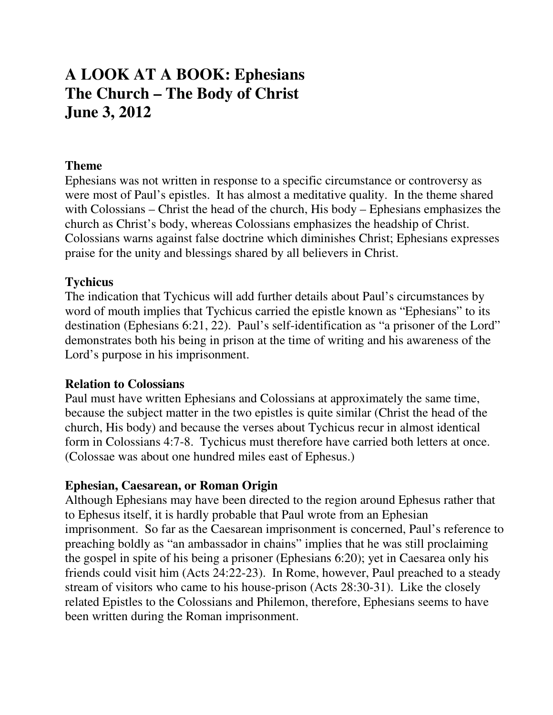# **A LOOK AT A BOOK: Ephesians The Church – The Body of Christ June 3, 2012**

#### **Theme**

Ephesians was not written in response to a specific circumstance or controversy as were most of Paul's epistles. It has almost a meditative quality. In the theme shared with Colossians – Christ the head of the church, His body – Ephesians emphasizes the church as Christ's body, whereas Colossians emphasizes the headship of Christ. Colossians warns against false doctrine which diminishes Christ; Ephesians expresses praise for the unity and blessings shared by all believers in Christ.

### **Tychicus**

The indication that Tychicus will add further details about Paul's circumstances by word of mouth implies that Tychicus carried the epistle known as "Ephesians" to its destination (Ephesians 6:21, 22). Paul's self-identification as "a prisoner of the Lord" demonstrates both his being in prison at the time of writing and his awareness of the Lord's purpose in his imprisonment.

#### **Relation to Colossians**

Paul must have written Ephesians and Colossians at approximately the same time, because the subject matter in the two epistles is quite similar (Christ the head of the church, His body) and because the verses about Tychicus recur in almost identical form in Colossians 4:7-8. Tychicus must therefore have carried both letters at once. (Colossae was about one hundred miles east of Ephesus.)

#### **Ephesian, Caesarean, or Roman Origin**

Although Ephesians may have been directed to the region around Ephesus rather that to Ephesus itself, it is hardly probable that Paul wrote from an Ephesian imprisonment. So far as the Caesarean imprisonment is concerned, Paul's reference to preaching boldly as "an ambassador in chains" implies that he was still proclaiming the gospel in spite of his being a prisoner (Ephesians 6:20); yet in Caesarea only his friends could visit him (Acts 24:22-23). In Rome, however, Paul preached to a steady stream of visitors who came to his house-prison (Acts 28:30-31). Like the closely related Epistles to the Colossians and Philemon, therefore, Ephesians seems to have been written during the Roman imprisonment.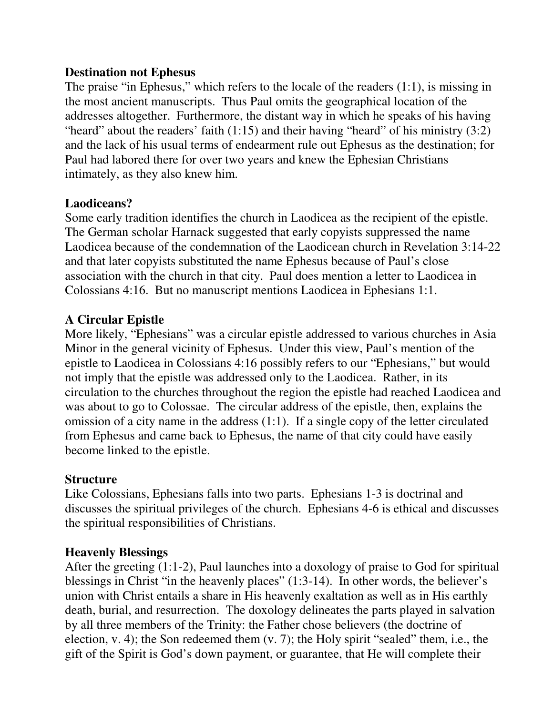#### **Destination not Ephesus**

The praise "in Ephesus," which refers to the locale of the readers (1:1), is missing in the most ancient manuscripts. Thus Paul omits the geographical location of the addresses altogether. Furthermore, the distant way in which he speaks of his having "heard" about the readers' faith (1:15) and their having "heard" of his ministry (3:2) and the lack of his usual terms of endearment rule out Ephesus as the destination; for Paul had labored there for over two years and knew the Ephesian Christians intimately, as they also knew him.

## **Laodiceans?**

Some early tradition identifies the church in Laodicea as the recipient of the epistle. The German scholar Harnack suggested that early copyists suppressed the name Laodicea because of the condemnation of the Laodicean church in Revelation 3:14-22 and that later copyists substituted the name Ephesus because of Paul's close association with the church in that city. Paul does mention a letter to Laodicea in Colossians 4:16. But no manuscript mentions Laodicea in Ephesians 1:1.

# **A Circular Epistle**

More likely, "Ephesians" was a circular epistle addressed to various churches in Asia Minor in the general vicinity of Ephesus. Under this view, Paul's mention of the epistle to Laodicea in Colossians 4:16 possibly refers to our "Ephesians," but would not imply that the epistle was addressed only to the Laodicea. Rather, in its circulation to the churches throughout the region the epistle had reached Laodicea and was about to go to Colossae. The circular address of the epistle, then, explains the omission of a city name in the address (1:1). If a single copy of the letter circulated from Ephesus and came back to Ephesus, the name of that city could have easily become linked to the epistle.

### **Structure**

Like Colossians, Ephesians falls into two parts. Ephesians 1-3 is doctrinal and discusses the spiritual privileges of the church. Ephesians 4-6 is ethical and discusses the spiritual responsibilities of Christians.

### **Heavenly Blessings**

After the greeting (1:1-2), Paul launches into a doxology of praise to God for spiritual blessings in Christ "in the heavenly places" (1:3-14). In other words, the believer's union with Christ entails a share in His heavenly exaltation as well as in His earthly death, burial, and resurrection. The doxology delineates the parts played in salvation by all three members of the Trinity: the Father chose believers (the doctrine of election, v. 4); the Son redeemed them (v. 7); the Holy spirit "sealed" them, i.e., the gift of the Spirit is God's down payment, or guarantee, that He will complete their